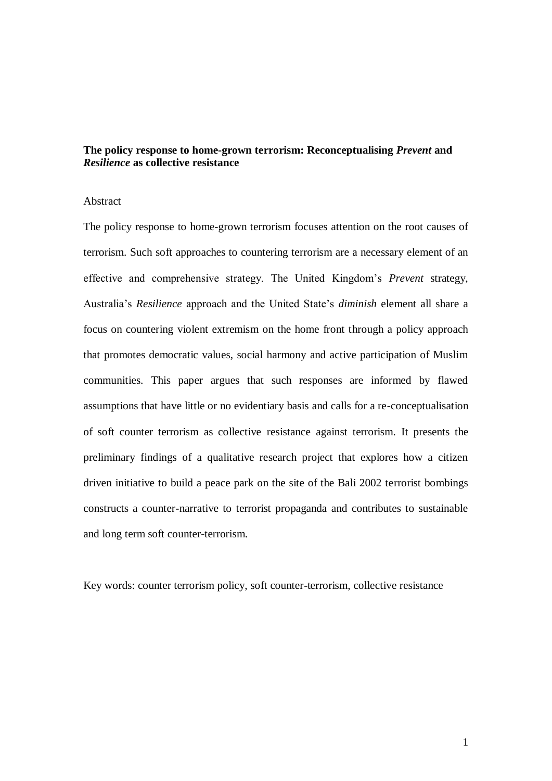# **The policy response to home-grown terrorism: Reconceptualising** *Prevent* **and**  *Resilience* **as collective resistance**

# Abstract

The policy response to home-grown terrorism focuses attention on the root causes of terrorism. Such soft approaches to countering terrorism are a necessary element of an effective and comprehensive strategy. The United Kingdom's *Prevent* strategy, Australia's *Resilience* approach and the United State's *diminish* element all share a focus on countering violent extremism on the home front through a policy approach that promotes democratic values, social harmony and active participation of Muslim communities. This paper argues that such responses are informed by flawed assumptions that have little or no evidentiary basis and calls for a re-conceptualisation of soft counter terrorism as collective resistance against terrorism. It presents the preliminary findings of a qualitative research project that explores how a citizen driven initiative to build a peace park on the site of the Bali 2002 terrorist bombings constructs a counter-narrative to terrorist propaganda and contributes to sustainable and long term soft counter-terrorism.

Key words: counter terrorism policy, soft counter-terrorism, collective resistance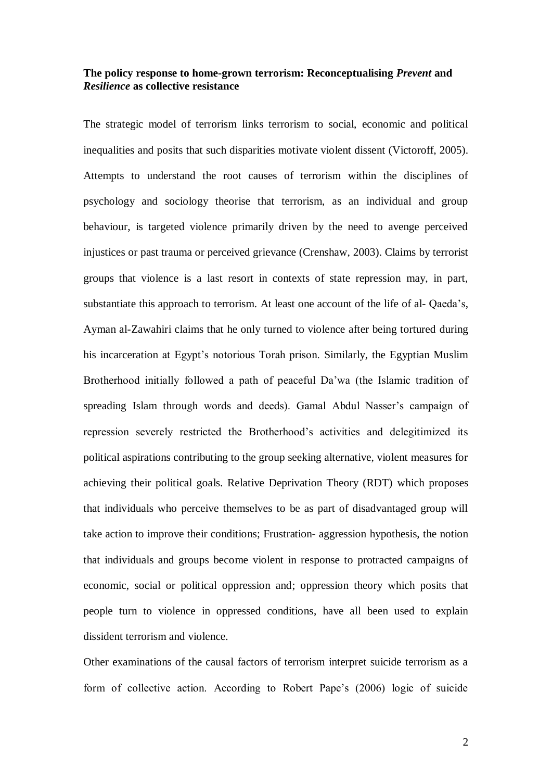## **The policy response to home-grown terrorism: Reconceptualising** *Prevent* **and**  *Resilience* **as collective resistance**

The strategic model of terrorism links terrorism to social, economic and political inequalities and posits that such disparities motivate violent dissent (Victoroff, 2005). Attempts to understand the root causes of terrorism within the disciplines of psychology and sociology theorise that terrorism, as an individual and group behaviour, is targeted violence primarily driven by the need to avenge perceived injustices or past trauma or perceived grievance (Crenshaw, 2003). Claims by terrorist groups that violence is a last resort in contexts of state repression may, in part, substantiate this approach to terrorism. At least one account of the life of al- Qaeda's, Ayman al-Zawahiri claims that he only turned to violence after being tortured during his incarceration at Egypt's notorious Torah prison. Similarly, the Egyptian Muslim Brotherhood initially followed a path of peaceful Da'wa (the Islamic tradition of spreading Islam through words and deeds). Gamal Abdul Nasser's campaign of repression severely restricted the Brotherhood's activities and delegitimized its political aspirations contributing to the group seeking alternative, violent measures for achieving their political goals. Relative Deprivation Theory (RDT) which proposes that individuals who perceive themselves to be as part of disadvantaged group will take action to improve their conditions; Frustration- aggression hypothesis, the notion that individuals and groups become violent in response to protracted campaigns of economic, social or political oppression and; oppression theory which posits that people turn to violence in oppressed conditions, have all been used to explain dissident terrorism and violence.

Other examinations of the causal factors of terrorism interpret suicide terrorism as a form of collective action. According to Robert Pape's (2006) logic of suicide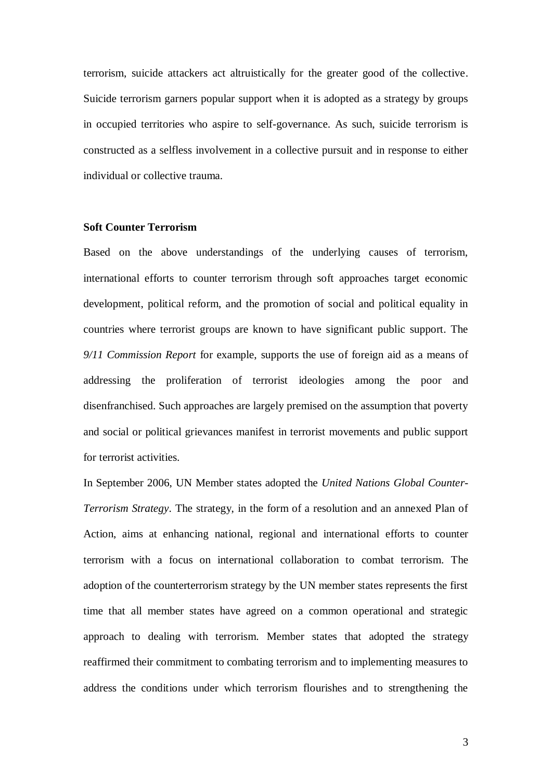terrorism, suicide attackers act altruistically for the greater good of the collective. Suicide terrorism garners popular support when it is adopted as a strategy by groups in occupied territories who aspire to self-governance. As such, suicide terrorism is constructed as a selfless involvement in a collective pursuit and in response to either individual or collective trauma.

#### **Soft Counter Terrorism**

Based on the above understandings of the underlying causes of terrorism, international efforts to counter terrorism through soft approaches target economic development, political reform, and the promotion of social and political equality in countries where terrorist groups are known to have significant public support. The *9/11 Commission Report* for example, supports the use of foreign aid as a means of addressing the proliferation of terrorist ideologies among the poor and disenfranchised. Such approaches are largely premised on the assumption that poverty and social or political grievances manifest in terrorist movements and public support for terrorist activities.

In September 2006, UN Member states adopted the *United Nations Global Counter-Terrorism Strategy*. The strategy, in the form of a resolution and an annexed Plan of Action, aims at enhancing national, regional and international efforts to counter terrorism with a focus on international collaboration to combat terrorism. The adoption of the counterterrorism strategy by the UN member states represents the first time that all member states have agreed on a common operational and strategic approach to dealing with terrorism. Member states that adopted the strategy reaffirmed their commitment to combating terrorism and to implementing measures to address the conditions under which terrorism flourishes and to strengthening the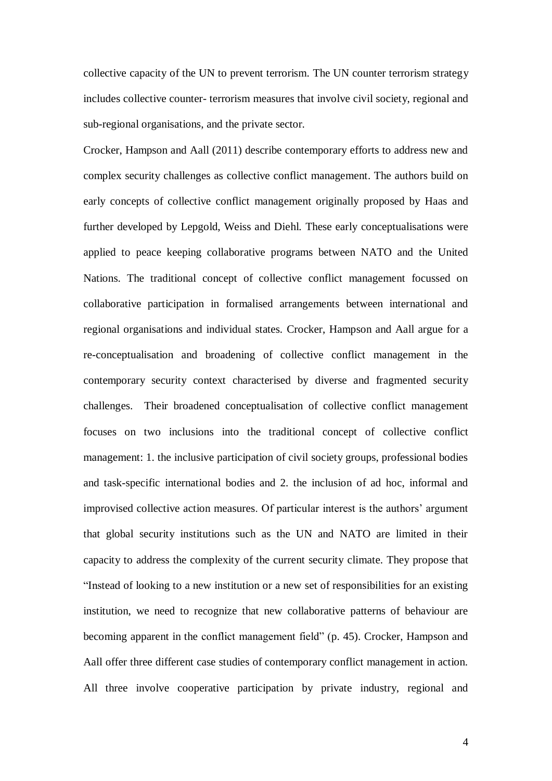collective capacity of the UN to prevent terrorism. The UN counter terrorism strategy includes collective counter- terrorism measures that involve civil society, regional and sub-regional organisations, and the private sector.

Crocker, Hampson and Aall (2011) describe contemporary efforts to address new and complex security challenges as collective conflict management. The authors build on early concepts of collective conflict management originally proposed by Haas and further developed by Lepgold, Weiss and Diehl. These early conceptualisations were applied to peace keeping collaborative programs between NATO and the United Nations. The traditional concept of collective conflict management focussed on collaborative participation in formalised arrangements between international and regional organisations and individual states. Crocker, Hampson and Aall argue for a re-conceptualisation and broadening of collective conflict management in the contemporary security context characterised by diverse and fragmented security challenges. Their broadened conceptualisation of collective conflict management focuses on two inclusions into the traditional concept of collective conflict management: 1. the inclusive participation of civil society groups, professional bodies and task-specific international bodies and 2. the inclusion of ad hoc, informal and improvised collective action measures. Of particular interest is the authors' argument that global security institutions such as the UN and NATO are limited in their capacity to address the complexity of the current security climate. They propose that "Instead of looking to a new institution or a new set of responsibilities for an existing institution, we need to recognize that new collaborative patterns of behaviour are becoming apparent in the conflict management field" (p. 45). Crocker, Hampson and Aall offer three different case studies of contemporary conflict management in action. All three involve cooperative participation by private industry, regional and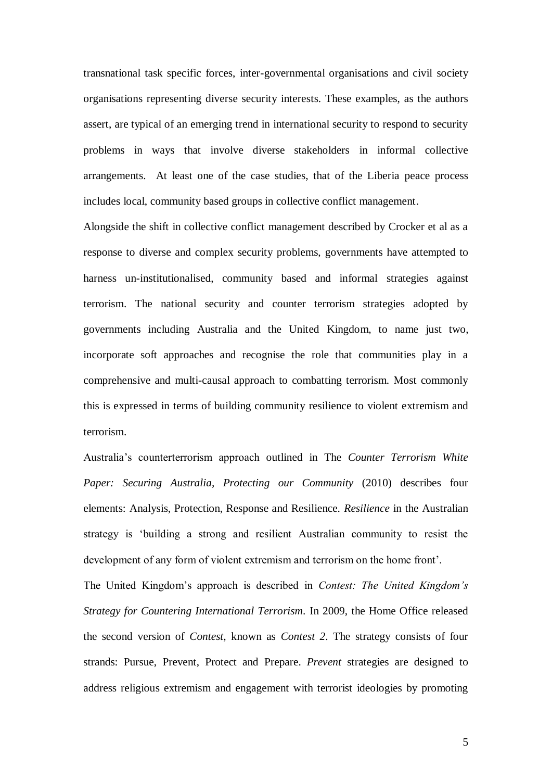transnational task specific forces, inter-governmental organisations and civil society organisations representing diverse security interests. These examples, as the authors assert, are typical of an emerging trend in international security to respond to security problems in ways that involve diverse stakeholders in informal collective arrangements. At least one of the case studies, that of the Liberia peace process includes local, community based groups in collective conflict management.

Alongside the shift in collective conflict management described by Crocker et al as a response to diverse and complex security problems, governments have attempted to harness un-institutionalised, community based and informal strategies against terrorism. The national security and counter terrorism strategies adopted by governments including Australia and the United Kingdom, to name just two, incorporate soft approaches and recognise the role that communities play in a comprehensive and multi-causal approach to combatting terrorism. Most commonly this is expressed in terms of building community resilience to violent extremism and terrorism.

Australia's counterterrorism approach outlined in The *Counter Terrorism White Paper: Securing Australia, Protecting our Community* (2010) describes four elements: Analysis, Protection, Response and Resilience. *Resilience* in the Australian strategy is 'building a strong and resilient Australian community to resist the development of any form of violent extremism and terrorism on the home front'.

The United Kingdom's approach is described in *Contest: The United Kingdom's Strategy for Countering International Terrorism*. In 2009, the Home Office released the second version of *Contest*, known as *Contest 2*. The strategy consists of four strands: Pursue, Prevent, Protect and Prepare. *Prevent* strategies are designed to address religious extremism and engagement with terrorist ideologies by promoting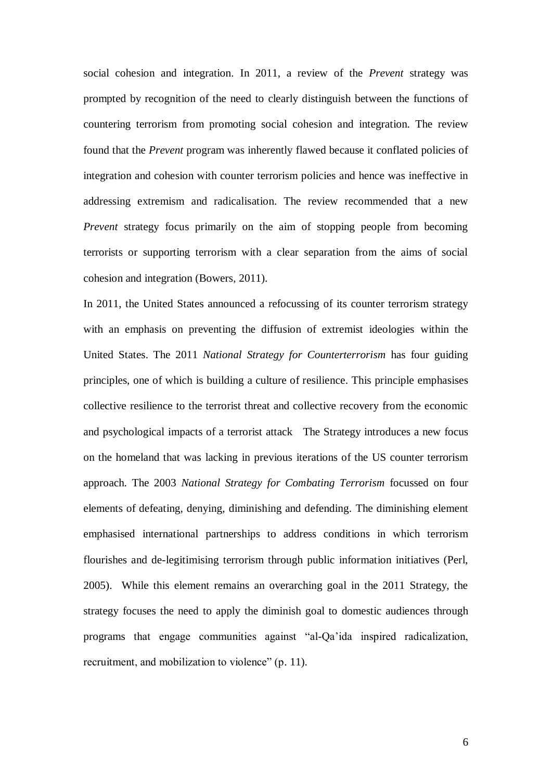social cohesion and integration. In 2011, a review of the *Prevent* strategy was prompted by recognition of the need to clearly distinguish between the functions of countering terrorism from promoting social cohesion and integration. The review found that the *Prevent* program was inherently flawed because it conflated policies of integration and cohesion with counter terrorism policies and hence was ineffective in addressing extremism and radicalisation. The review recommended that a new *Prevent* strategy focus primarily on the aim of stopping people from becoming terrorists or supporting terrorism with a clear separation from the aims of social cohesion and integration (Bowers, 2011).

In 2011, the United States announced a refocussing of its counter terrorism strategy with an emphasis on preventing the diffusion of extremist ideologies within the United States. The 2011 *National Strategy for Counterterrorism* has four guiding principles, one of which is building a culture of resilience. This principle emphasises collective resilience to the terrorist threat and collective recovery from the economic and psychological impacts of a terrorist attack The Strategy introduces a new focus on the homeland that was lacking in previous iterations of the US counter terrorism approach. The 2003 *National Strategy for Combating Terrorism* focussed on four elements of defeating, denying, diminishing and defending. The diminishing element emphasised international partnerships to address conditions in which terrorism flourishes and de-legitimising terrorism through public information initiatives (Perl, 2005). While this element remains an overarching goal in the 2011 Strategy, the strategy focuses the need to apply the diminish goal to domestic audiences through programs that engage communities against "al-Qa'ida inspired radicalization, recruitment, and mobilization to violence" (p. 11).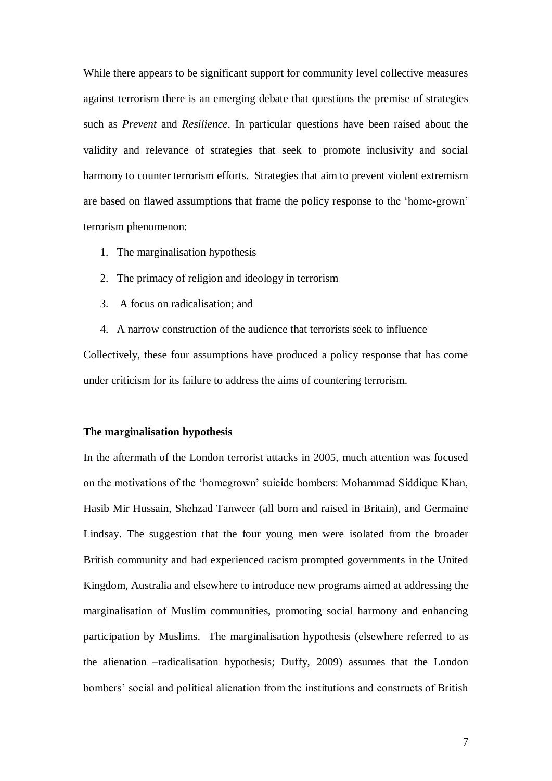While there appears to be significant support for community level collective measures against terrorism there is an emerging debate that questions the premise of strategies such as *Prevent* and *Resilience*. In particular questions have been raised about the validity and relevance of strategies that seek to promote inclusivity and social harmony to counter terrorism efforts. Strategies that aim to prevent violent extremism are based on flawed assumptions that frame the policy response to the 'home-grown' terrorism phenomenon:

- 1. The marginalisation hypothesis
- 2. The primacy of religion and ideology in terrorism
- 3. A focus on radicalisation; and
- 4. A narrow construction of the audience that terrorists seek to influence

Collectively, these four assumptions have produced a policy response that has come under criticism for its failure to address the aims of countering terrorism.

#### **The marginalisation hypothesis**

In the aftermath of the London terrorist attacks in 2005, much attention was focused on the motivations of the 'homegrown' suicide bombers: Mohammad Siddique Khan, Hasib Mir Hussain, Shehzad Tanweer (all born and raised in Britain), and Germaine Lindsay. The suggestion that the four young men were isolated from the broader British community and had experienced racism prompted governments in the United Kingdom, Australia and elsewhere to introduce new programs aimed at addressing the marginalisation of Muslim communities, promoting social harmony and enhancing participation by Muslims. The marginalisation hypothesis (elsewhere referred to as the alienation –radicalisation hypothesis; Duffy, 2009) assumes that the London bombers' social and political alienation from the institutions and constructs of British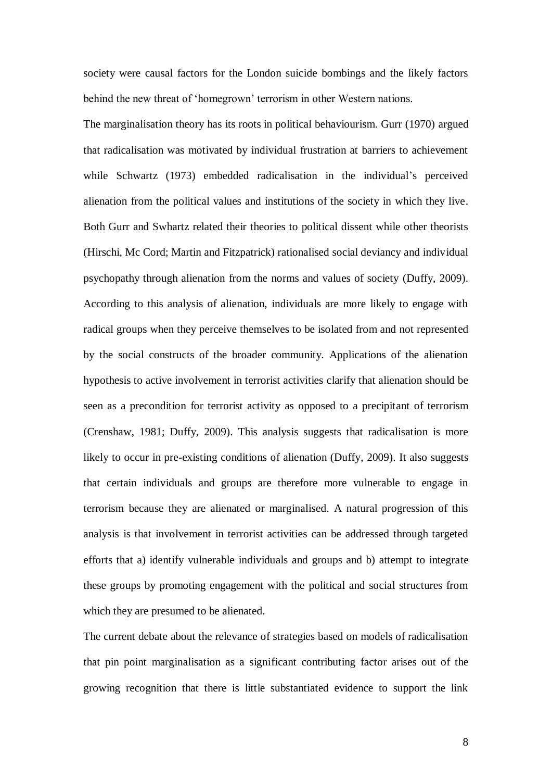society were causal factors for the London suicide bombings and the likely factors behind the new threat of 'homegrown' terrorism in other Western nations.

The marginalisation theory has its roots in political behaviourism. Gurr (1970) argued that radicalisation was motivated by individual frustration at barriers to achievement while Schwartz (1973) embedded radicalisation in the individual's perceived alienation from the political values and institutions of the society in which they live. Both Gurr and Swhartz related their theories to political dissent while other theorists (Hirschi, Mc Cord; Martin and Fitzpatrick) rationalised social deviancy and individual psychopathy through alienation from the norms and values of society (Duffy, 2009). According to this analysis of alienation, individuals are more likely to engage with radical groups when they perceive themselves to be isolated from and not represented by the social constructs of the broader community. Applications of the alienation hypothesis to active involvement in terrorist activities clarify that alienation should be seen as a precondition for terrorist activity as opposed to a precipitant of terrorism (Crenshaw, 1981; Duffy, 2009). This analysis suggests that radicalisation is more likely to occur in pre-existing conditions of alienation (Duffy, 2009). It also suggests that certain individuals and groups are therefore more vulnerable to engage in terrorism because they are alienated or marginalised. A natural progression of this analysis is that involvement in terrorist activities can be addressed through targeted efforts that a) identify vulnerable individuals and groups and b) attempt to integrate these groups by promoting engagement with the political and social structures from which they are presumed to be alienated.

The current debate about the relevance of strategies based on models of radicalisation that pin point marginalisation as a significant contributing factor arises out of the growing recognition that there is little substantiated evidence to support the link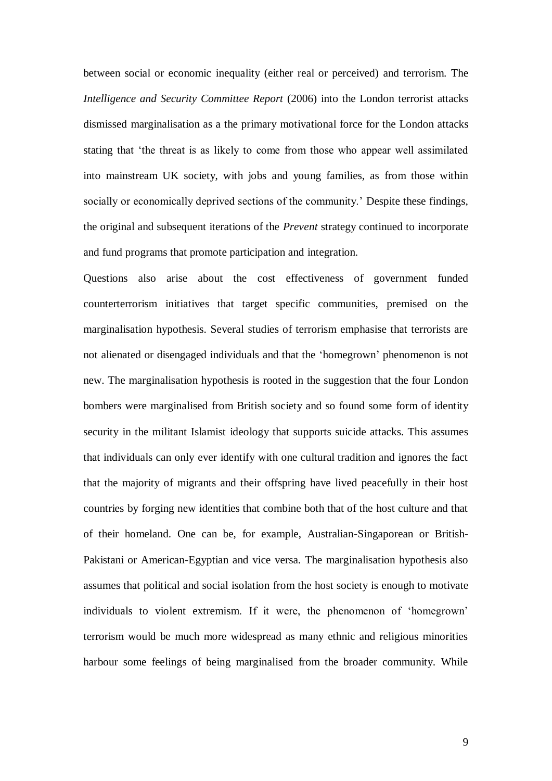between social or economic inequality (either real or perceived) and terrorism. The *Intelligence and Security Committee Report* (2006) into the London terrorist attacks dismissed marginalisation as a the primary motivational force for the London attacks stating that 'the threat is as likely to come from those who appear well assimilated into mainstream UK society, with jobs and young families, as from those within socially or economically deprived sections of the community.' Despite these findings, the original and subsequent iterations of the *Prevent* strategy continued to incorporate and fund programs that promote participation and integration.

Questions also arise about the cost effectiveness of government funded counterterrorism initiatives that target specific communities, premised on the marginalisation hypothesis. Several studies of terrorism emphasise that terrorists are not alienated or disengaged individuals and that the 'homegrown' phenomenon is not new. The marginalisation hypothesis is rooted in the suggestion that the four London bombers were marginalised from British society and so found some form of identity security in the militant Islamist ideology that supports suicide attacks. This assumes that individuals can only ever identify with one cultural tradition and ignores the fact that the majority of migrants and their offspring have lived peacefully in their host countries by forging new identities that combine both that of the host culture and that of their homeland. One can be, for example, Australian-Singaporean or British-Pakistani or American-Egyptian and vice versa. The marginalisation hypothesis also assumes that political and social isolation from the host society is enough to motivate individuals to violent extremism. If it were, the phenomenon of 'homegrown' terrorism would be much more widespread as many ethnic and religious minorities harbour some feelings of being marginalised from the broader community. While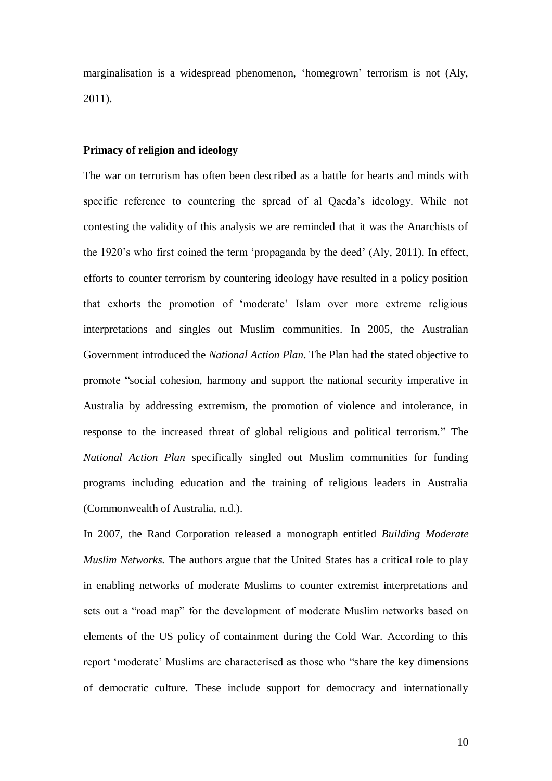marginalisation is a widespread phenomenon, 'homegrown' terrorism is not (Aly, 2011).

#### **Primacy of religion and ideology**

The war on terrorism has often been described as a battle for hearts and minds with specific reference to countering the spread of al Qaeda's ideology. While not contesting the validity of this analysis we are reminded that it was the Anarchists of the 1920's who first coined the term 'propaganda by the deed' (Aly, 2011). In effect, efforts to counter terrorism by countering ideology have resulted in a policy position that exhorts the promotion of 'moderate' Islam over more extreme religious interpretations and singles out Muslim communities. In 2005, the Australian Government introduced the *National Action Plan*. The Plan had the stated objective to promote "social cohesion, harmony and support the national security imperative in Australia by addressing extremism, the promotion of violence and intolerance, in response to the increased threat of global religious and political terrorism." The *National Action Plan* specifically singled out Muslim communities for funding programs including education and the training of religious leaders in Australia (Commonwealth of Australia, n.d.).

In 2007, the Rand Corporation released a monograph entitled *Building Moderate Muslim Networks.* The authors argue that the United States has a critical role to play in enabling networks of moderate Muslims to counter extremist interpretations and sets out a "road map" for the development of moderate Muslim networks based on elements of the US policy of containment during the Cold War. According to this report 'moderate' Muslims are characterised as those who "share the key dimensions of democratic culture. These include support for democracy and internationally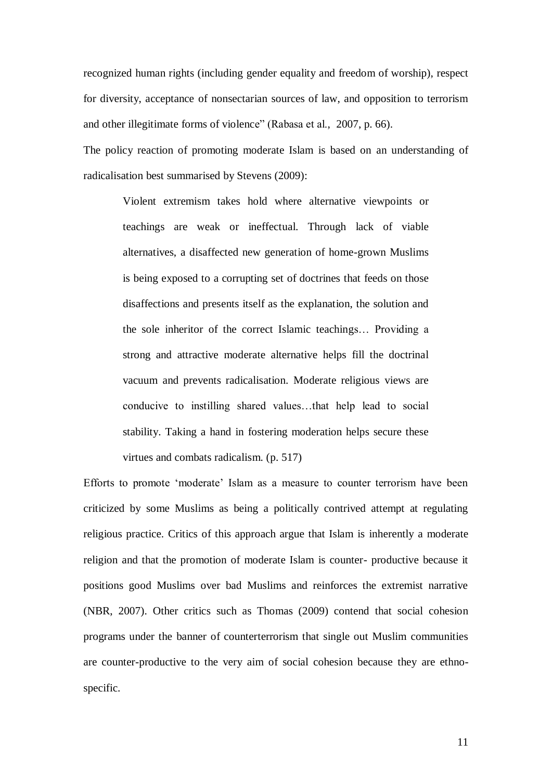recognized human rights (including gender equality and freedom of worship), respect for diversity, acceptance of nonsectarian sources of law, and opposition to terrorism and other illegitimate forms of violence" (Rabasa et al., 2007, p. 66).

The policy reaction of promoting moderate Islam is based on an understanding of radicalisation best summarised by Stevens (2009):

> Violent extremism takes hold where alternative viewpoints or teachings are weak or ineffectual. Through lack of viable alternatives, a disaffected new generation of home-grown Muslims is being exposed to a corrupting set of doctrines that feeds on those disaffections and presents itself as the explanation, the solution and the sole inheritor of the correct Islamic teachings… Providing a strong and attractive moderate alternative helps fill the doctrinal vacuum and prevents radicalisation. Moderate religious views are conducive to instilling shared values…that help lead to social stability. Taking a hand in fostering moderation helps secure these virtues and combats radicalism. (p. 517)

Efforts to promote 'moderate' Islam as a measure to counter terrorism have been criticized by some Muslims as being a politically contrived attempt at regulating religious practice. Critics of this approach argue that Islam is inherently a moderate religion and that the promotion of moderate Islam is counter- productive because it positions good Muslims over bad Muslims and reinforces the extremist narrative (NBR, 2007). Other critics such as Thomas (2009) contend that social cohesion programs under the banner of counterterrorism that single out Muslim communities are counter-productive to the very aim of social cohesion because they are ethnospecific.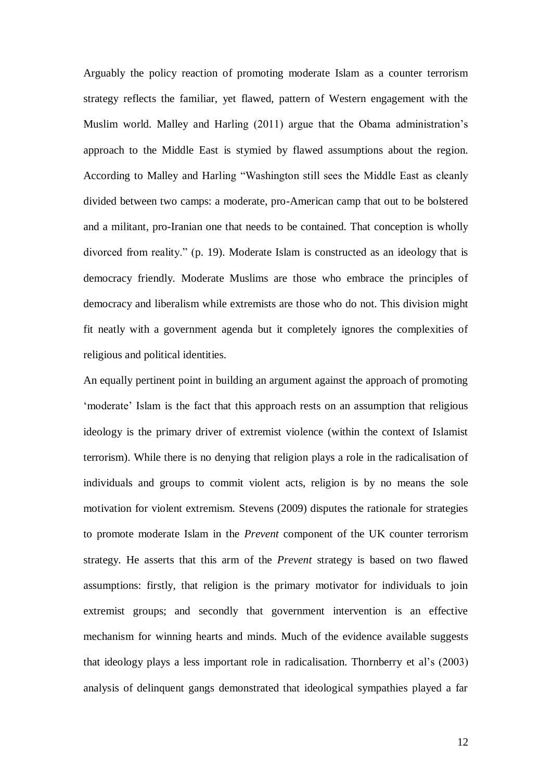Arguably the policy reaction of promoting moderate Islam as a counter terrorism strategy reflects the familiar, yet flawed, pattern of Western engagement with the Muslim world. Malley and Harling (2011) argue that the Obama administration's approach to the Middle East is stymied by flawed assumptions about the region. According to Malley and Harling "Washington still sees the Middle East as cleanly divided between two camps: a moderate, pro-American camp that out to be bolstered and a militant, pro-Iranian one that needs to be contained. That conception is wholly divorced from reality." (p. 19). Moderate Islam is constructed as an ideology that is democracy friendly. Moderate Muslims are those who embrace the principles of democracy and liberalism while extremists are those who do not. This division might fit neatly with a government agenda but it completely ignores the complexities of religious and political identities.

An equally pertinent point in building an argument against the approach of promoting 'moderate' Islam is the fact that this approach rests on an assumption that religious ideology is the primary driver of extremist violence (within the context of Islamist terrorism). While there is no denying that religion plays a role in the radicalisation of individuals and groups to commit violent acts, religion is by no means the sole motivation for violent extremism. Stevens (2009) disputes the rationale for strategies to promote moderate Islam in the *Prevent* component of the UK counter terrorism strategy. He asserts that this arm of the *Prevent* strategy is based on two flawed assumptions: firstly, that religion is the primary motivator for individuals to join extremist groups; and secondly that government intervention is an effective mechanism for winning hearts and minds. Much of the evidence available suggests that ideology plays a less important role in radicalisation. Thornberry et al's (2003) analysis of delinquent gangs demonstrated that ideological sympathies played a far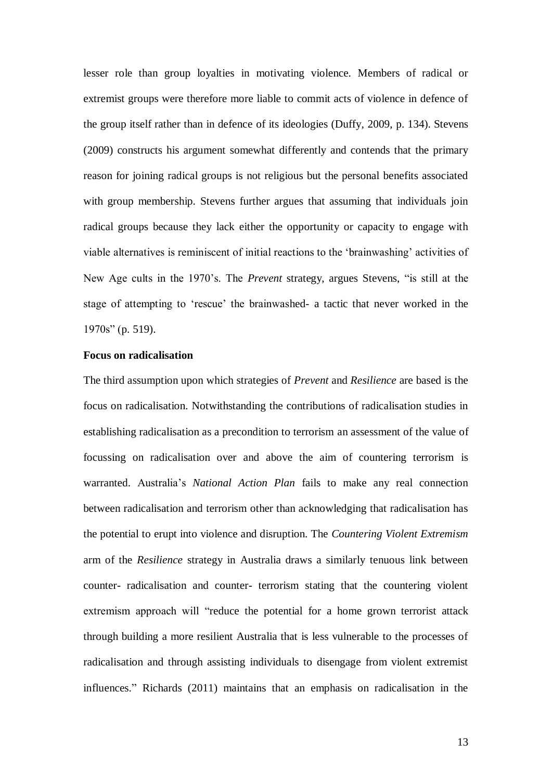lesser role than group loyalties in motivating violence. Members of radical or extremist groups were therefore more liable to commit acts of violence in defence of the group itself rather than in defence of its ideologies (Duffy, 2009, p. 134). Stevens (2009) constructs his argument somewhat differently and contends that the primary reason for joining radical groups is not religious but the personal benefits associated with group membership. Stevens further argues that assuming that individuals join radical groups because they lack either the opportunity or capacity to engage with viable alternatives is reminiscent of initial reactions to the 'brainwashing' activities of New Age cults in the 1970's. The *Prevent* strategy, argues Stevens, "is still at the stage of attempting to 'rescue' the brainwashed- a tactic that never worked in the 1970s" (p. 519).

# **Focus on radicalisation**

The third assumption upon which strategies of *Prevent* and *Resilience* are based is the focus on radicalisation. Notwithstanding the contributions of radicalisation studies in establishing radicalisation as a precondition to terrorism an assessment of the value of focussing on radicalisation over and above the aim of countering terrorism is warranted. Australia's *National Action Plan* fails to make any real connection between radicalisation and terrorism other than acknowledging that radicalisation has the potential to erupt into violence and disruption. The *Countering Violent Extremism* arm of the *Resilience* strategy in Australia draws a similarly tenuous link between counter- radicalisation and counter- terrorism stating that the countering violent extremism approach will "reduce the potential for a home grown terrorist attack through building a more resilient Australia that is less vulnerable to the processes of radicalisation and through assisting individuals to disengage from violent extremist influences." Richards (2011) maintains that an emphasis on radicalisation in the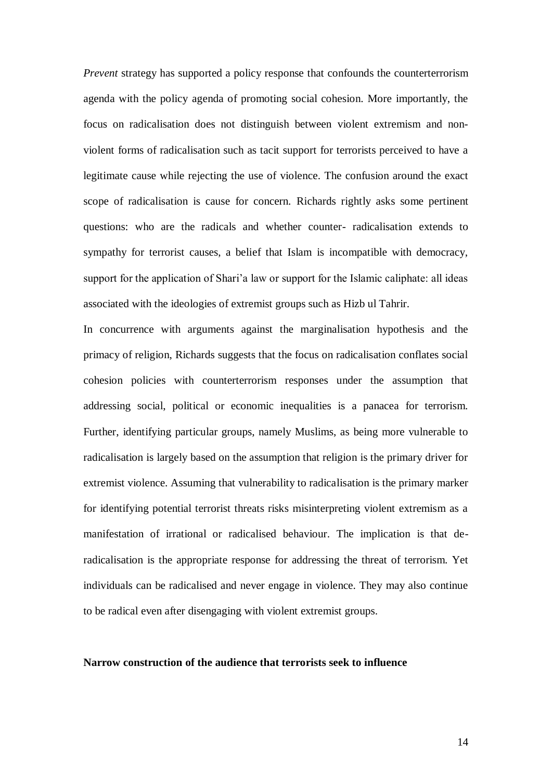*Prevent* strategy has supported a policy response that confounds the counterterrorism agenda with the policy agenda of promoting social cohesion. More importantly, the focus on radicalisation does not distinguish between violent extremism and nonviolent forms of radicalisation such as tacit support for terrorists perceived to have a legitimate cause while rejecting the use of violence. The confusion around the exact scope of radicalisation is cause for concern. Richards rightly asks some pertinent questions: who are the radicals and whether counter- radicalisation extends to sympathy for terrorist causes, a belief that Islam is incompatible with democracy, support for the application of Shari'a law or support for the Islamic caliphate: all ideas associated with the ideologies of extremist groups such as Hizb ul Tahrir.

In concurrence with arguments against the marginalisation hypothesis and the primacy of religion, Richards suggests that the focus on radicalisation conflates social cohesion policies with counterterrorism responses under the assumption that addressing social, political or economic inequalities is a panacea for terrorism. Further, identifying particular groups, namely Muslims, as being more vulnerable to radicalisation is largely based on the assumption that religion is the primary driver for extremist violence. Assuming that vulnerability to radicalisation is the primary marker for identifying potential terrorist threats risks misinterpreting violent extremism as a manifestation of irrational or radicalised behaviour. The implication is that deradicalisation is the appropriate response for addressing the threat of terrorism. Yet individuals can be radicalised and never engage in violence. They may also continue to be radical even after disengaging with violent extremist groups.

#### **Narrow construction of the audience that terrorists seek to influence**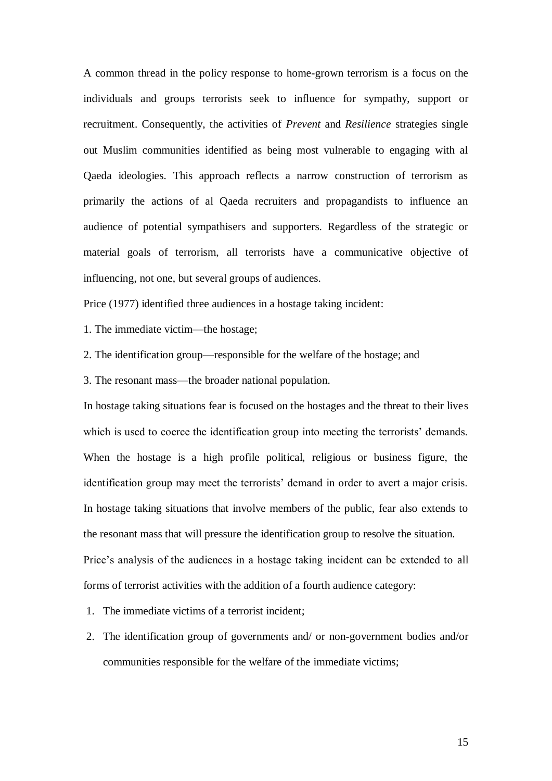A common thread in the policy response to home-grown terrorism is a focus on the individuals and groups terrorists seek to influence for sympathy, support or recruitment. Consequently, the activities of *Prevent* and *Resilience* strategies single out Muslim communities identified as being most vulnerable to engaging with al Qaeda ideologies. This approach reflects a narrow construction of terrorism as primarily the actions of al Qaeda recruiters and propagandists to influence an audience of potential sympathisers and supporters. Regardless of the strategic or material goals of terrorism, all terrorists have a communicative objective of influencing, not one, but several groups of audiences.

Price (1977) identified three audiences in a hostage taking incident:

1. The immediate victim—the hostage;

2. The identification group—responsible for the welfare of the hostage; and

3. The resonant mass—the broader national population.

In hostage taking situations fear is focused on the hostages and the threat to their lives which is used to coerce the identification group into meeting the terrorists' demands. When the hostage is a high profile political, religious or business figure, the identification group may meet the terrorists' demand in order to avert a major crisis. In hostage taking situations that involve members of the public, fear also extends to the resonant mass that will pressure the identification group to resolve the situation. Price's analysis of the audiences in a hostage taking incident can be extended to all forms of terrorist activities with the addition of a fourth audience category:

1. The immediate victims of a terrorist incident;

2. The identification group of governments and/ or non-government bodies and/or communities responsible for the welfare of the immediate victims;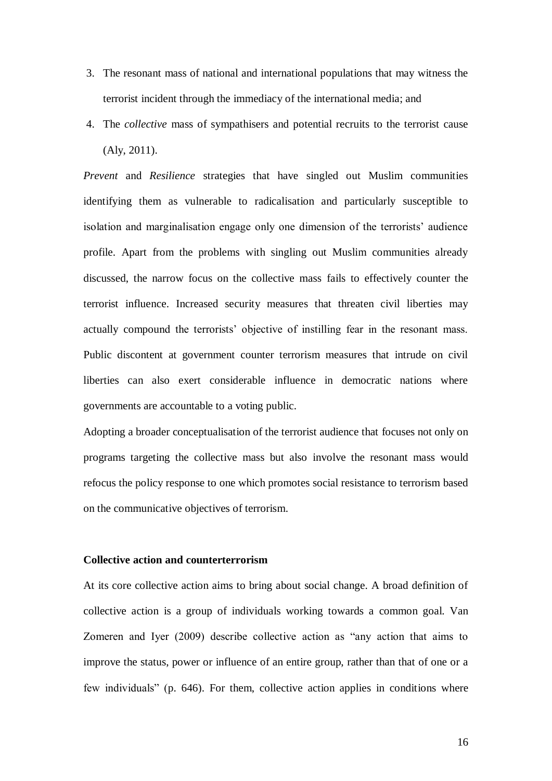- 3. The resonant mass of national and international populations that may witness the terrorist incident through the immediacy of the international media; and
- 4. The *collective* mass of sympathisers and potential recruits to the terrorist cause (Aly, 2011).

*Prevent* and *Resilience* strategies that have singled out Muslim communities identifying them as vulnerable to radicalisation and particularly susceptible to isolation and marginalisation engage only one dimension of the terrorists' audience profile. Apart from the problems with singling out Muslim communities already discussed, the narrow focus on the collective mass fails to effectively counter the terrorist influence. Increased security measures that threaten civil liberties may actually compound the terrorists' objective of instilling fear in the resonant mass. Public discontent at government counter terrorism measures that intrude on civil liberties can also exert considerable influence in democratic nations where governments are accountable to a voting public.

Adopting a broader conceptualisation of the terrorist audience that focuses not only on programs targeting the collective mass but also involve the resonant mass would refocus the policy response to one which promotes social resistance to terrorism based on the communicative objectives of terrorism.

#### **Collective action and counterterrorism**

At its core collective action aims to bring about social change. A broad definition of collective action is a group of individuals working towards a common goal. Van Zomeren and Iyer (2009) describe collective action as "any action that aims to improve the status, power or influence of an entire group, rather than that of one or a few individuals" (p. 646). For them, collective action applies in conditions where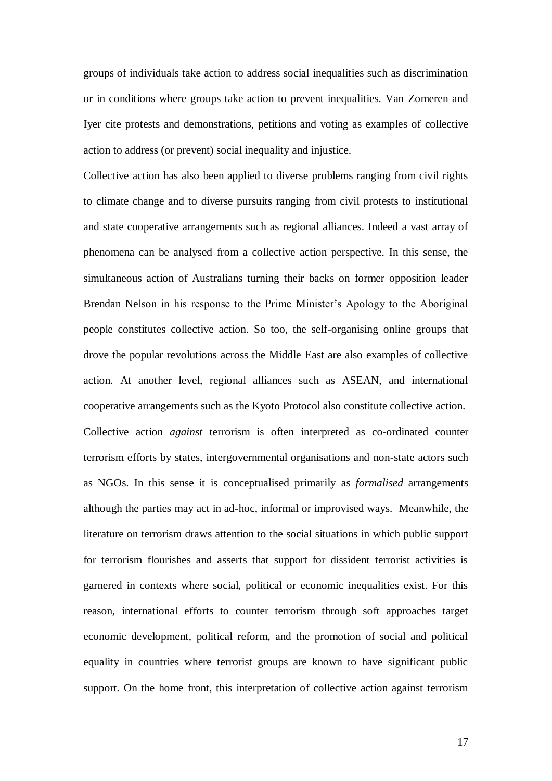groups of individuals take action to address social inequalities such as discrimination or in conditions where groups take action to prevent inequalities. Van Zomeren and Iyer cite protests and demonstrations, petitions and voting as examples of collective action to address (or prevent) social inequality and injustice.

Collective action has also been applied to diverse problems ranging from civil rights to climate change and to diverse pursuits ranging from civil protests to institutional and state cooperative arrangements such as regional alliances. Indeed a vast array of phenomena can be analysed from a collective action perspective. In this sense, the simultaneous action of Australians turning their backs on former opposition leader Brendan Nelson in his response to the Prime Minister's Apology to the Aboriginal people constitutes collective action. So too, the self-organising online groups that drove the popular revolutions across the Middle East are also examples of collective action. At another level, regional alliances such as ASEAN, and international cooperative arrangements such as the Kyoto Protocol also constitute collective action. Collective action *against* terrorism is often interpreted as co-ordinated counter terrorism efforts by states, intergovernmental organisations and non-state actors such as NGOs. In this sense it is conceptualised primarily as *formalised* arrangements although the parties may act in ad-hoc, informal or improvised ways. Meanwhile, the literature on terrorism draws attention to the social situations in which public support for terrorism flourishes and asserts that support for dissident terrorist activities is garnered in contexts where social, political or economic inequalities exist. For this reason, international efforts to counter terrorism through soft approaches target economic development, political reform, and the promotion of social and political equality in countries where terrorist groups are known to have significant public support. On the home front, this interpretation of collective action against terrorism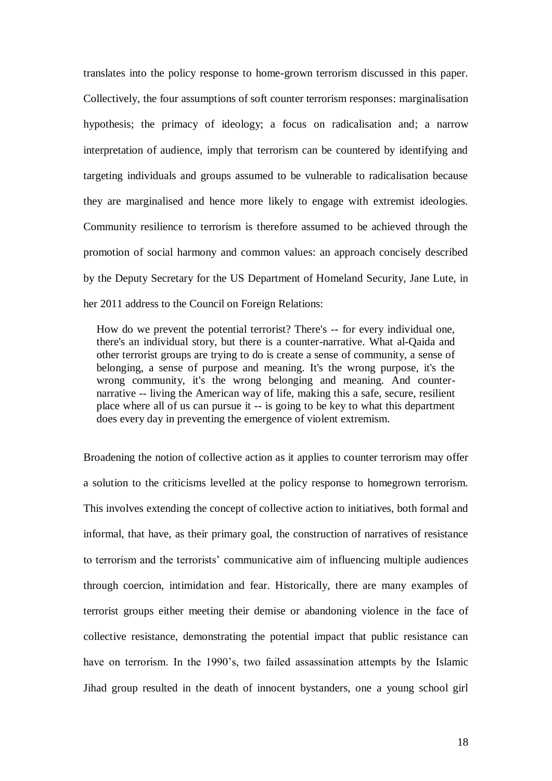translates into the policy response to home-grown terrorism discussed in this paper. Collectively, the four assumptions of soft counter terrorism responses: marginalisation hypothesis; the primacy of ideology; a focus on radicalisation and; a narrow interpretation of audience, imply that terrorism can be countered by identifying and targeting individuals and groups assumed to be vulnerable to radicalisation because they are marginalised and hence more likely to engage with extremist ideologies. Community resilience to terrorism is therefore assumed to be achieved through the promotion of social harmony and common values: an approach concisely described by the Deputy Secretary for the US Department of Homeland Security, Jane Lute, in her 2011 address to the Council on Foreign Relations:

How do we prevent the potential terrorist? There's -- for every individual one, there's an individual story, but there is a counter-narrative. What al-Qaida and other terrorist groups are trying to do is create a sense of community, a sense of belonging, a sense of purpose and meaning. It's the wrong purpose, it's the wrong community, it's the wrong belonging and meaning. And counternarrative -- living the American way of life, making this a safe, secure, resilient place where all of us can pursue it -- is going to be key to what this department does every day in preventing the emergence of violent extremism.

Broadening the notion of collective action as it applies to counter terrorism may offer a solution to the criticisms levelled at the policy response to homegrown terrorism. This involves extending the concept of collective action to initiatives, both formal and informal, that have, as their primary goal, the construction of narratives of resistance to terrorism and the terrorists' communicative aim of influencing multiple audiences through coercion, intimidation and fear. Historically, there are many examples of terrorist groups either meeting their demise or abandoning violence in the face of collective resistance, demonstrating the potential impact that public resistance can have on terrorism. In the 1990's, two failed assassination attempts by the Islamic Jihad group resulted in the death of innocent bystanders, one a young school girl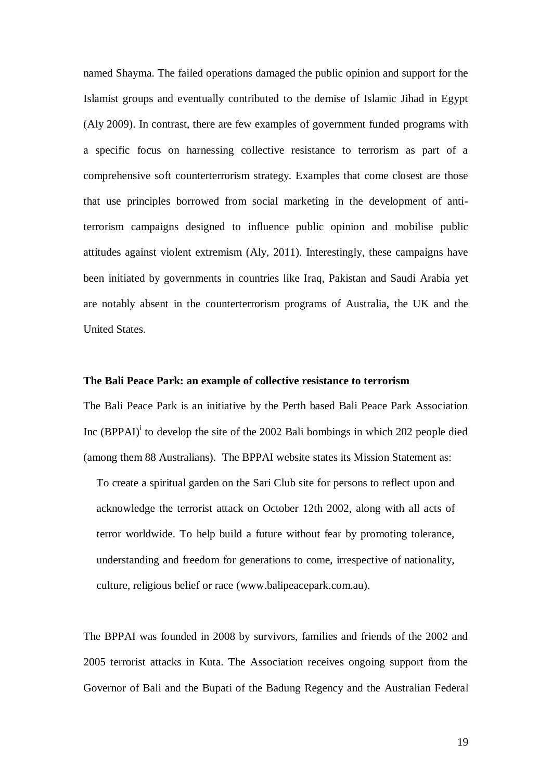named Shayma. The failed operations damaged the public opinion and support for the Islamist groups and eventually contributed to the demise of Islamic Jihad in Egypt (Aly 2009). In contrast, there are few examples of government funded programs with a specific focus on harnessing collective resistance to terrorism as part of a comprehensive soft counterterrorism strategy. Examples that come closest are those that use principles borrowed from social marketing in the development of antiterrorism campaigns designed to influence public opinion and mobilise public attitudes against violent extremism (Aly, 2011). Interestingly, these campaigns have been initiated by governments in countries like Iraq, Pakistan and Saudi Arabia yet are notably absent in the counterterrorism programs of Australia, the UK and the United States.

## **The Bali Peace Park: an example of collective resistance to terrorism**

The Bali Peace Park is an initiative by the Perth based Bali Peace Park Association Inc  $(BPPAI)^{i}$  to develop the site of the 2002 Bali bombings in which 202 people died (among them 88 Australians). The BPPAI website states its Mission Statement as:

To create a spiritual garden on the Sari Club site for persons to reflect upon and acknowledge the terrorist attack on October 12th 2002, along with all acts of terror worldwide. To help build a future without fear by promoting tolerance, understanding and freedom for generations to come, irrespective of nationality, culture, religious belief or race (www.balipeacepark.com.au).

The BPPAI was founded in 2008 by survivors, families and friends of the 2002 and 2005 terrorist attacks in Kuta. The Association receives ongoing support from the Governor of Bali and the Bupati of the Badung Regency and the Australian Federal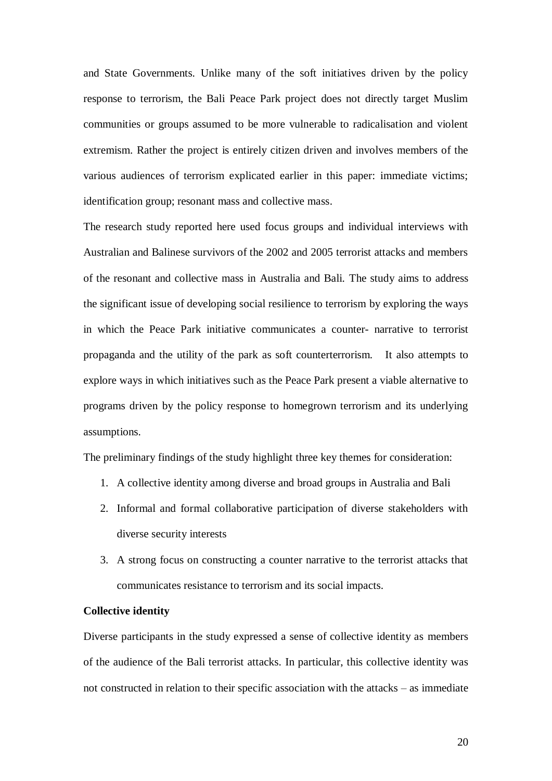and State Governments. Unlike many of the soft initiatives driven by the policy response to terrorism, the Bali Peace Park project does not directly target Muslim communities or groups assumed to be more vulnerable to radicalisation and violent extremism. Rather the project is entirely citizen driven and involves members of the various audiences of terrorism explicated earlier in this paper: immediate victims; identification group; resonant mass and collective mass.

The research study reported here used focus groups and individual interviews with Australian and Balinese survivors of the 2002 and 2005 terrorist attacks and members of the resonant and collective mass in Australia and Bali. The study aims to address the significant issue of developing social resilience to terrorism by exploring the ways in which the Peace Park initiative communicates a counter- narrative to terrorist propaganda and the utility of the park as soft counterterrorism. It also attempts to explore ways in which initiatives such as the Peace Park present a viable alternative to programs driven by the policy response to homegrown terrorism and its underlying assumptions.

The preliminary findings of the study highlight three key themes for consideration:

- 1. A collective identity among diverse and broad groups in Australia and Bali
- 2. Informal and formal collaborative participation of diverse stakeholders with diverse security interests
- 3. A strong focus on constructing a counter narrative to the terrorist attacks that communicates resistance to terrorism and its social impacts.

#### **Collective identity**

Diverse participants in the study expressed a sense of collective identity as members of the audience of the Bali terrorist attacks. In particular, this collective identity was not constructed in relation to their specific association with the attacks – as immediate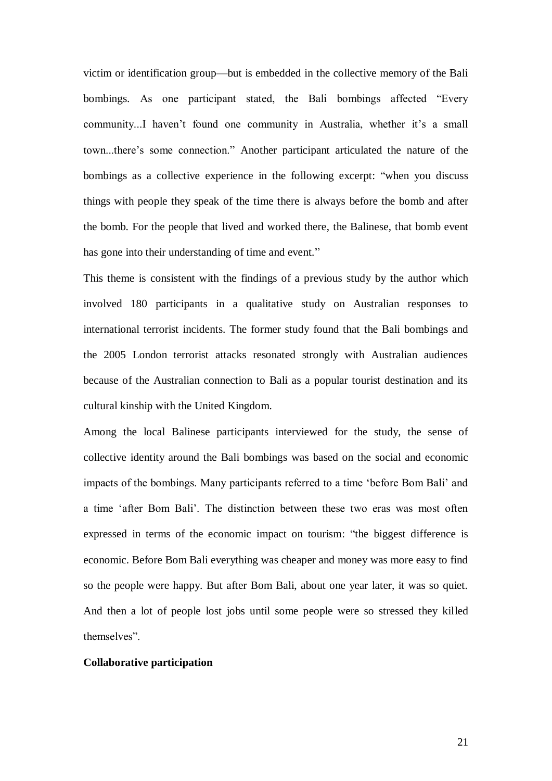victim or identification group—but is embedded in the collective memory of the Bali bombings. As one participant stated, the Bali bombings affected "Every community...I haven't found one community in Australia, whether it's a small town...there's some connection." Another participant articulated the nature of the bombings as a collective experience in the following excerpt: "when you discuss things with people they speak of the time there is always before the bomb and after the bomb. For the people that lived and worked there, the Balinese, that bomb event has gone into their understanding of time and event."

This theme is consistent with the findings of a previous study by the author which involved 180 participants in a qualitative study on Australian responses to international terrorist incidents. The former study found that the Bali bombings and the 2005 London terrorist attacks resonated strongly with Australian audiences because of the Australian connection to Bali as a popular tourist destination and its cultural kinship with the United Kingdom.

Among the local Balinese participants interviewed for the study, the sense of collective identity around the Bali bombings was based on the social and economic impacts of the bombings. Many participants referred to a time 'before Bom Bali' and a time 'after Bom Bali'. The distinction between these two eras was most often expressed in terms of the economic impact on tourism: "the biggest difference is economic. Before Bom Bali everything was cheaper and money was more easy to find so the people were happy. But after Bom Bali, about one year later, it was so quiet. And then a lot of people lost jobs until some people were so stressed they killed themselves".

#### **Collaborative participation**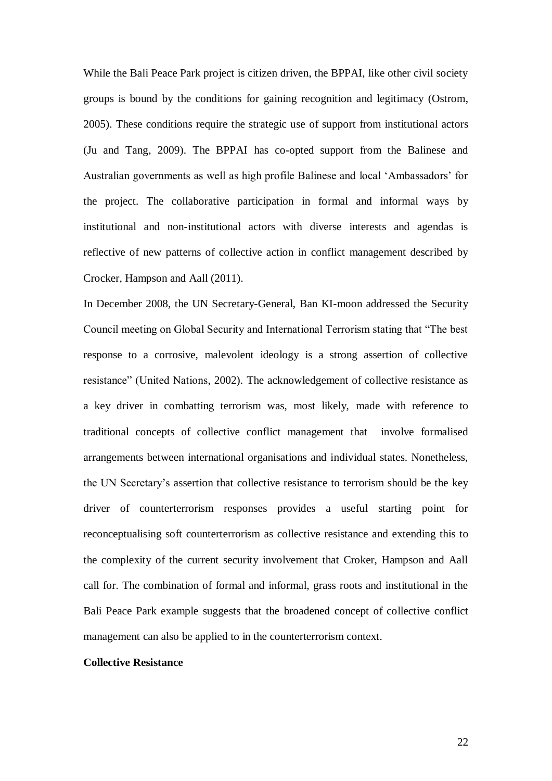While the Bali Peace Park project is citizen driven, the BPPAI, like other civil society groups is bound by the conditions for gaining recognition and legitimacy (Ostrom, 2005). These conditions require the strategic use of support from institutional actors (Ju and Tang, 2009). The BPPAI has co-opted support from the Balinese and Australian governments as well as high profile Balinese and local 'Ambassadors' for the project. The collaborative participation in formal and informal ways by institutional and non-institutional actors with diverse interests and agendas is reflective of new patterns of collective action in conflict management described by Crocker, Hampson and Aall (2011).

In December 2008, the UN Secretary-General, Ban KI-moon addressed the Security Council meeting on Global Security and International Terrorism stating that "The best response to a corrosive, malevolent ideology is a strong assertion of collective resistance" (United Nations, 2002). The acknowledgement of collective resistance as a key driver in combatting terrorism was, most likely, made with reference to traditional concepts of collective conflict management that involve formalised arrangements between international organisations and individual states. Nonetheless, the UN Secretary's assertion that collective resistance to terrorism should be the key driver of counterterrorism responses provides a useful starting point for reconceptualising soft counterterrorism as collective resistance and extending this to the complexity of the current security involvement that Croker, Hampson and Aall call for. The combination of formal and informal, grass roots and institutional in the Bali Peace Park example suggests that the broadened concept of collective conflict management can also be applied to in the counterterrorism context.

#### **Collective Resistance**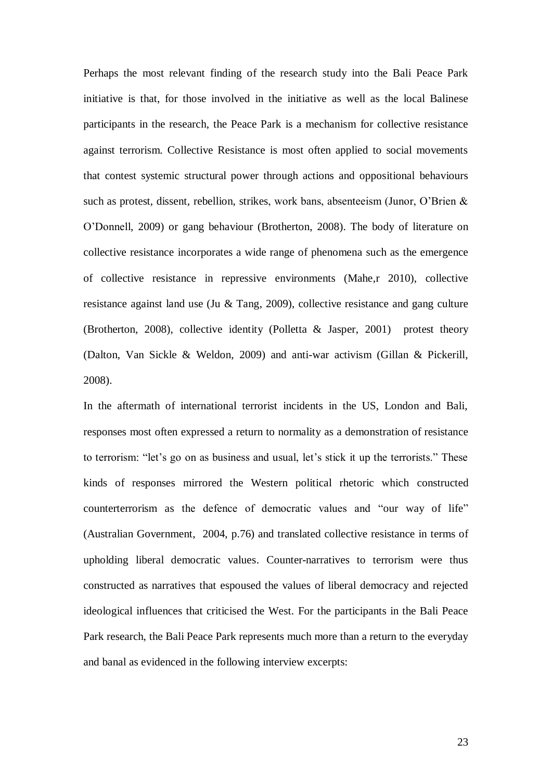Perhaps the most relevant finding of the research study into the Bali Peace Park initiative is that, for those involved in the initiative as well as the local Balinese participants in the research, the Peace Park is a mechanism for collective resistance against terrorism. Collective Resistance is most often applied to social movements that contest systemic structural power through actions and oppositional behaviours such as protest, dissent, rebellion, strikes, work bans, absenteeism (Junor, O'Brien & O'Donnell, 2009) or gang behaviour (Brotherton, 2008). The body of literature on collective resistance incorporates a wide range of phenomena such as the emergence of collective resistance in repressive environments (Mahe,r 2010), collective resistance against land use (Ju & Tang, 2009), collective resistance and gang culture (Brotherton, 2008), collective identity (Polletta & Jasper, 2001) protest theory (Dalton, Van Sickle & Weldon, 2009) and anti-war activism (Gillan & Pickerill, 2008).

In the aftermath of international terrorist incidents in the US, London and Bali, responses most often expressed a return to normality as a demonstration of resistance to terrorism: "let's go on as business and usual, let's stick it up the terrorists." These kinds of responses mirrored the Western political rhetoric which constructed counterterrorism as the defence of democratic values and "our way of life" (Australian Government, 2004, p.76) and translated collective resistance in terms of upholding liberal democratic values. Counter-narratives to terrorism were thus constructed as narratives that espoused the values of liberal democracy and rejected ideological influences that criticised the West. For the participants in the Bali Peace Park research, the Bali Peace Park represents much more than a return to the everyday and banal as evidenced in the following interview excerpts: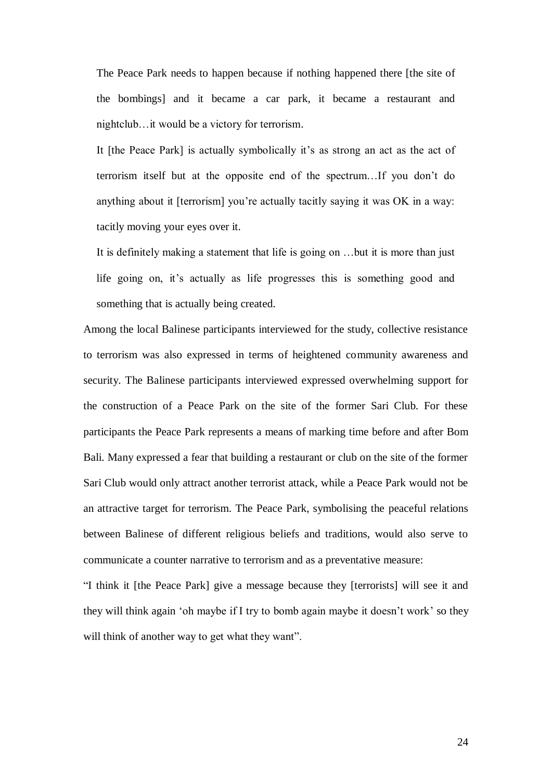The Peace Park needs to happen because if nothing happened there [the site of the bombings] and it became a car park, it became a restaurant and nightclub…it would be a victory for terrorism.

It [the Peace Park] is actually symbolically it's as strong an act as the act of terrorism itself but at the opposite end of the spectrum…If you don't do anything about it [terrorism] you're actually tacitly saying it was OK in a way: tacitly moving your eyes over it.

It is definitely making a statement that life is going on …but it is more than just life going on, it's actually as life progresses this is something good and something that is actually being created.

Among the local Balinese participants interviewed for the study, collective resistance to terrorism was also expressed in terms of heightened community awareness and security. The Balinese participants interviewed expressed overwhelming support for the construction of a Peace Park on the site of the former Sari Club. For these participants the Peace Park represents a means of marking time before and after Bom Bali. Many expressed a fear that building a restaurant or club on the site of the former Sari Club would only attract another terrorist attack, while a Peace Park would not be an attractive target for terrorism. The Peace Park, symbolising the peaceful relations between Balinese of different religious beliefs and traditions, would also serve to communicate a counter narrative to terrorism and as a preventative measure:

"I think it [the Peace Park] give a message because they [terrorists] will see it and they will think again 'oh maybe if I try to bomb again maybe it doesn't work' so they will think of another way to get what they want".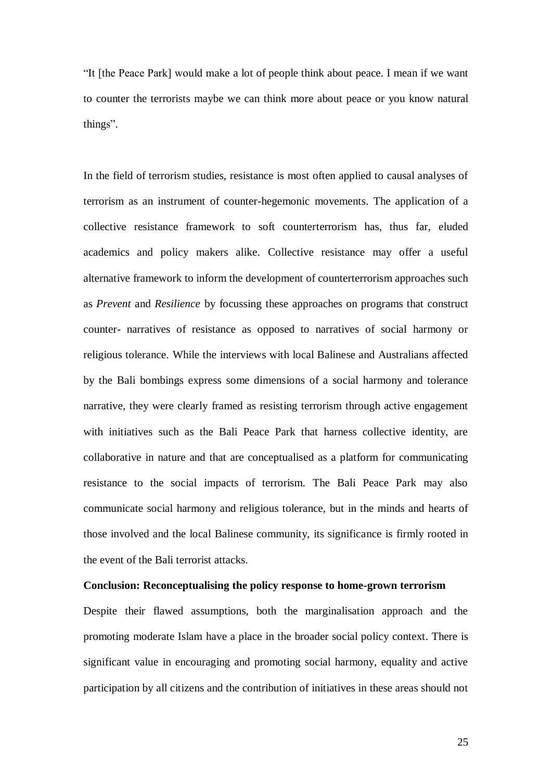"It [the Peace Park] would make a lot of people think about peace. I mean if we want to counter the terrorists maybe we can think more about peace or you know natural things".

In the field of terrorism studies, resistance is most often applied to causal analyses of terrorism as an instrument of counter-hegemonic movements. The application of a collective resistance framework to soft counterterrorism has, thus far, eluded academics and policy makers alike. Collective resistance may offer a useful alternative framework to inform the development of counterterrorism approaches such as *Prevent* and *Resilience* by focussing these approaches on programs that construct counter- narratives of resistance as opposed to narratives of social harmony or religious tolerance. While the interviews with local Balinese and Australians affected by the Bali bombings express some dimensions of a social harmony and tolerance narrative, they were clearly framed as resisting terrorism through active engagement with initiatives such as the Bali Peace Park that harness collective identity, are collaborative in nature and that are conceptualised as a platform for communicating resistance to the social impacts of terrorism. The Bali Peace Park may also communicate social harmony and religious tolerance, but in the minds and hearts of those involved and the local Balinese community, its significance is firmly rooted in the event of the Bali terrorist attacks.

## **Conclusion: Reconceptualising the policy response to home-grown terrorism**

Despite their flawed assumptions, both the marginalisation approach and the promoting moderate Islam have a place in the broader social policy context. There is significant value in encouraging and promoting social harmony, equality and active participation by all citizens and the contribution of initiatives in these areas should not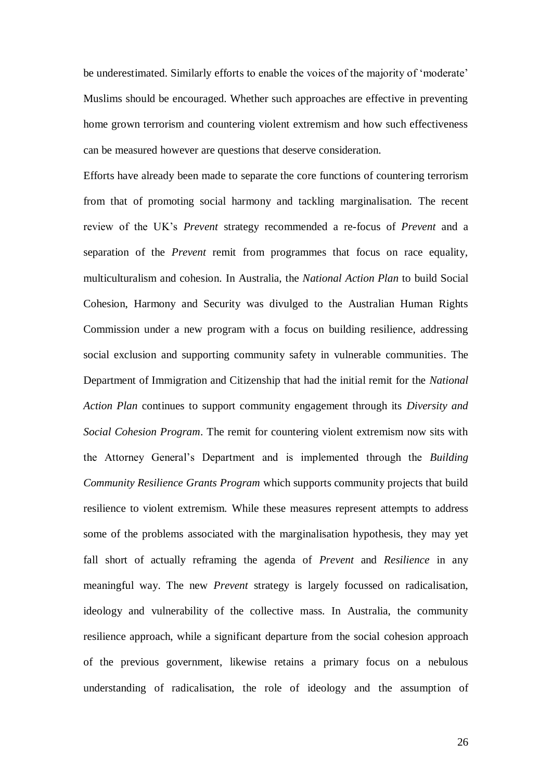be underestimated. Similarly efforts to enable the voices of the majority of 'moderate' Muslims should be encouraged. Whether such approaches are effective in preventing home grown terrorism and countering violent extremism and how such effectiveness can be measured however are questions that deserve consideration.

Efforts have already been made to separate the core functions of countering terrorism from that of promoting social harmony and tackling marginalisation. The recent review of the UK's *Prevent* strategy recommended a re-focus of *Prevent* and a separation of the *Prevent* remit from programmes that focus on race equality, multiculturalism and cohesion. In Australia, the *National Action Plan* to build Social Cohesion, Harmony and Security was divulged to the Australian Human Rights Commission under a new program with a focus on building resilience, addressing social exclusion and supporting community safety in vulnerable communities. The Department of Immigration and Citizenship that had the initial remit for the *National Action Plan* continues to support community engagement through its *Diversity and Social Cohesion Program*. The remit for countering violent extremism now sits with the Attorney General's Department and is implemented through the *Building Community Resilience Grants Program* which supports community projects that build resilience to violent extremism. While these measures represent attempts to address some of the problems associated with the marginalisation hypothesis, they may yet fall short of actually reframing the agenda of *Prevent* and *Resilience* in any meaningful way. The new *Prevent* strategy is largely focussed on radicalisation, ideology and vulnerability of the collective mass. In Australia, the community resilience approach, while a significant departure from the social cohesion approach of the previous government, likewise retains a primary focus on a nebulous understanding of radicalisation, the role of ideology and the assumption of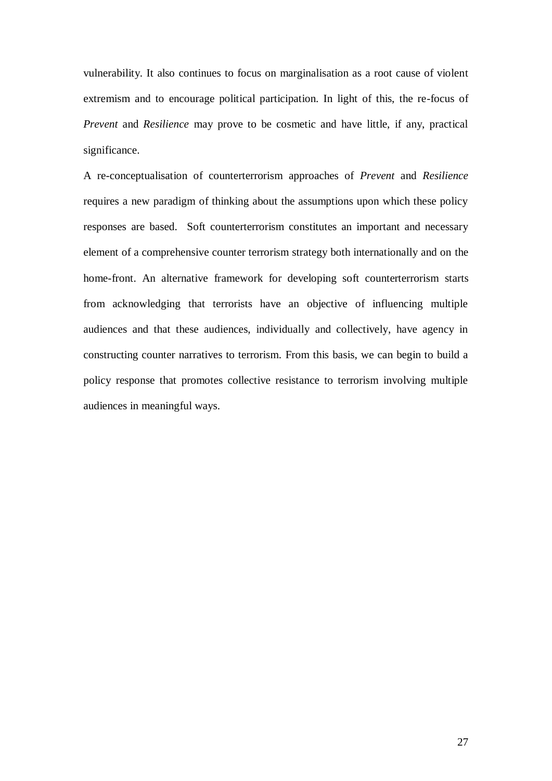vulnerability. It also continues to focus on marginalisation as a root cause of violent extremism and to encourage political participation. In light of this, the re-focus of *Prevent* and *Resilience* may prove to be cosmetic and have little, if any, practical significance.

A re-conceptualisation of counterterrorism approaches of *Prevent* and *Resilience* requires a new paradigm of thinking about the assumptions upon which these policy responses are based. Soft counterterrorism constitutes an important and necessary element of a comprehensive counter terrorism strategy both internationally and on the home-front. An alternative framework for developing soft counterterrorism starts from acknowledging that terrorists have an objective of influencing multiple audiences and that these audiences, individually and collectively, have agency in constructing counter narratives to terrorism. From this basis, we can begin to build a policy response that promotes collective resistance to terrorism involving multiple audiences in meaningful ways.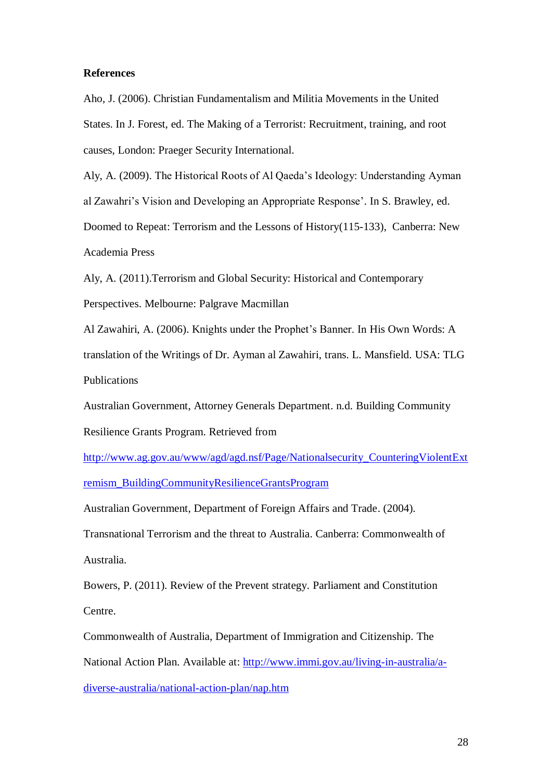#### **References**

Aho, J. (2006). Christian Fundamentalism and Militia Movements in the United States. In J. Forest, ed. The Making of a Terrorist: Recruitment, training, and root causes, London: Praeger Security International.

Aly, A. (2009). The Historical Roots of Al Qaeda's Ideology: Understanding Ayman al Zawahri's Vision and Developing an Appropriate Response'. In S. Brawley, ed. Doomed to Repeat: Terrorism and the Lessons of History(115-133), Canberra: New Academia Press

Aly, A. (2011).Terrorism and Global Security: Historical and Contemporary Perspectives. Melbourne: Palgrave Macmillan

Al Zawahiri, A. (2006). Knights under the Prophet's Banner. In His Own Words: A translation of the Writings of Dr. Ayman al Zawahiri, trans. L. Mansfield. USA: TLG Publications

Australian Government, Attorney Generals Department. n.d. Building Community Resilience Grants Program. Retrieved from

[http://www.ag.gov.au/www/agd/agd.nsf/Page/Nationalsecurity\\_CounteringViolentExt](http://www.ag.gov.au/www/agd/agd.nsf/Page/Nationalsecurity_CounteringViolentExtremism_BuildingCommunityResilienceGrantsProgram) [remism\\_BuildingCommunityResilienceGrantsProgram](http://www.ag.gov.au/www/agd/agd.nsf/Page/Nationalsecurity_CounteringViolentExtremism_BuildingCommunityResilienceGrantsProgram)

Australian Government, Department of Foreign Affairs and Trade. (2004).

Transnational Terrorism and the threat to Australia. Canberra: Commonwealth of Australia.

Bowers, P. (2011). Review of the Prevent strategy. Parliament and Constitution Centre.

Commonwealth of Australia, Department of Immigration and Citizenship. The National Action Plan. Available at: [http://www.immi.gov.au/living-in-australia/a](http://www.immi.gov.au/living-in-australia/a-diverse-australia/national-action-plan/nap.htm)[diverse-australia/national-action-plan/nap.htm](http://www.immi.gov.au/living-in-australia/a-diverse-australia/national-action-plan/nap.htm)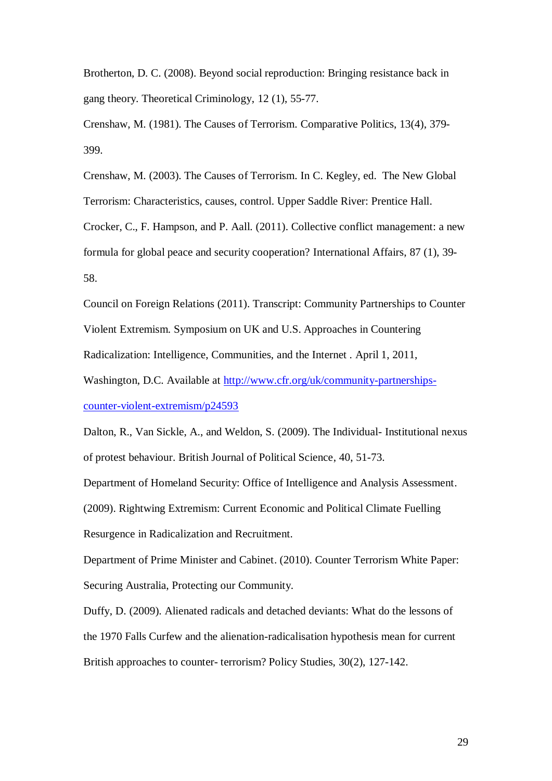Brotherton, D. C. (2008). Beyond social reproduction: Bringing resistance back in gang theory. Theoretical Criminology, 12 (1), 55-77.

Crenshaw, M. (1981). The Causes of Terrorism. Comparative Politics, 13(4), 379- 399.

Crenshaw, M. (2003). The Causes of Terrorism. In C. Kegley, ed. The New Global Terrorism: Characteristics, causes, control. Upper Saddle River: Prentice Hall. Crocker, C., F. Hampson, and P. Aall. (2011). Collective conflict management: a new formula for global peace and security cooperation? International Affairs, 87 (1), 39- 58.

Council on Foreign Relations (2011). Transcript: Community Partnerships to Counter Violent Extremism. Symposium on UK and U.S. Approaches in Countering Radicalization: Intelligence, Communities, and the Internet . April 1, 2011, Washington, D.C. Available at [http://www.cfr.org/uk/community-partnerships](http://www.cfr.org/uk/community-partnerships-counter-violent-extremism/p24593)[counter-violent-extremism/p24593](http://www.cfr.org/uk/community-partnerships-counter-violent-extremism/p24593)

Dalton, R., Van Sickle, A., and Weldon, S. (2009). The Individual- Institutional nexus of protest behaviour. British Journal of Political Science, 40, 51-73.

Department of Homeland Security: Office of Intelligence and Analysis Assessment.

(2009). Rightwing Extremism: Current Economic and Political Climate Fuelling Resurgence in Radicalization and Recruitment.

Department of Prime Minister and Cabinet. (2010). Counter Terrorism White Paper: Securing Australia, Protecting our Community.

Duffy, D. (2009). Alienated radicals and detached deviants: What do the lessons of the 1970 Falls Curfew and the alienation-radicalisation hypothesis mean for current British approaches to counter- terrorism? Policy Studies, 30(2), 127-142.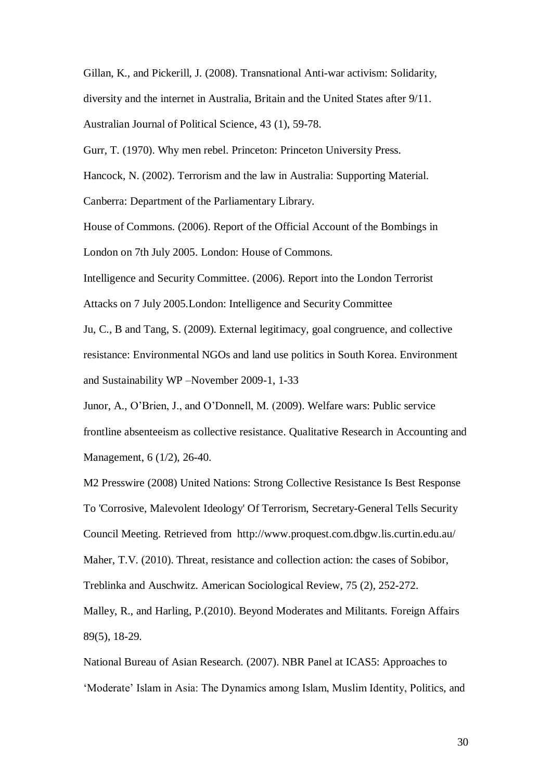Gillan, K., and Pickerill, J. (2008). Transnational Anti-war activism: Solidarity, diversity and the internet in Australia, Britain and the United States after 9/11. Australian Journal of Political Science, 43 (1), 59-78.

Gurr, T. (1970). Why men rebel. Princeton: Princeton University Press.

Hancock, N. (2002). Terrorism and the law in Australia: Supporting Material.

Canberra: Department of the Parliamentary Library.

House of Commons. (2006). Report of the Official Account of the Bombings in London on 7th July 2005. London: House of Commons.

Intelligence and Security Committee. (2006). Report into the London Terrorist Attacks on 7 July 2005*.*London: Intelligence and Security Committee

Ju, C., B and Tang, S. (2009). External legitimacy, goal congruence, and collective resistance: Environmental NGOs and land use politics in South Korea. Environment and Sustainability WP –November 2009-1, 1-33

Junor, A., O'Brien, J., and O'Donnell, M. (2009). Welfare wars: Public service frontline absenteeism as collective resistance. Qualitative Research in Accounting and Management, 6 (1/2), 26-40.

M2 Presswire (2008) United Nations: Strong Collective Resistance Is Best Response To 'Corrosive, Malevolent Ideology' Of Terrorism, Secretary-General Tells Security Council Meeting. Retrieved from http://www.proquest.com.dbgw.lis.curtin.edu.au/ Maher, T.V. (2010). Threat, resistance and collection action: the cases of Sobibor, Treblinka and Auschwitz. American Sociological Review, 75 (2), 252-272.

Malley, R., and Harling, P.(2010). Beyond Moderates and Militants. Foreign Affairs 89(5), 18-29.

National Bureau of Asian Research. (2007). NBR Panel at ICAS5: Approaches to 'Moderate' Islam in Asia: The Dynamics among Islam, Muslim Identity, Politics, and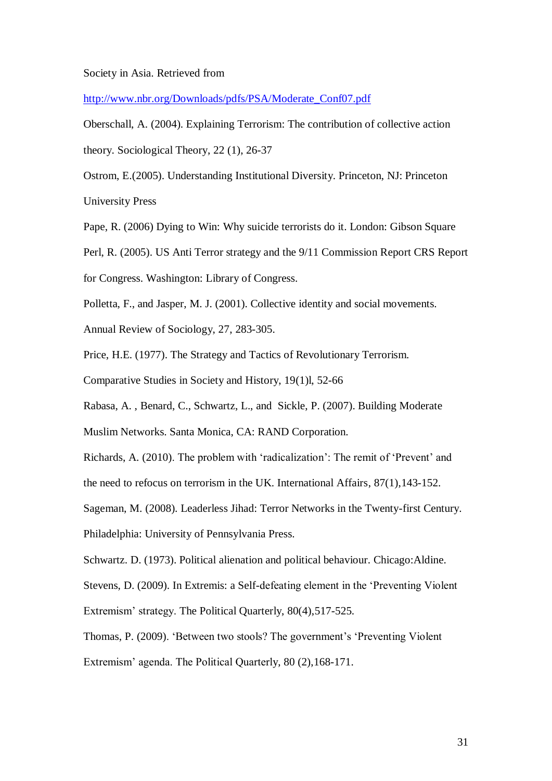#### Society in Asia. Retrieved from

[http://www.nbr.org/Downloads/pdfs/PSA/Moderate\\_Conf07.pdf](http://www.nbr.org/Downloads/pdfs/PSA/Moderate_Conf07.pdf)

Oberschall, A. (2004). Explaining Terrorism: The contribution of collective action theory. Sociological Theory, 22 (1), 26-37

Ostrom, E.(2005). Understanding Institutional Diversity. Princeton, NJ: Princeton University Press

Pape, R. (2006) Dying to Win: Why suicide terrorists do it. London: Gibson Square

Perl, R. (2005). US Anti Terror strategy and the 9/11 Commission Report CRS Report

for Congress. Washington: Library of Congress.

Polletta, F., and Jasper, M. J. (2001). Collective identity and social movements. Annual Review of Sociology, 27, 283-305.

Price, H.E. (1977). The Strategy and Tactics of Revolutionary Terrorism.

Comparative Studies in Society and History, 19(1)l, 52-66

Rabasa, A. , Benard, C., Schwartz, L., and Sickle, P. (2007). Building Moderate

Muslim Networks. Santa Monica, CA: RAND Corporation.

Richards, A. (2010). The problem with 'radicalization': The remit of 'Prevent' and

the need to refocus on terrorism in the UK. International Affairs, 87(1),143-152.

Sageman, M. (2008). Leaderless Jihad: Terror Networks in the Twenty-first Century.

Philadelphia: University of Pennsylvania Press.

Schwartz. D. (1973). Political alienation and political behaviour. Chicago:Aldine.

Stevens, D. (2009). In Extremis: a Self-defeating element in the 'Preventing Violent

Extremism' strategy. The Political Quarterly, 80(4),517-525.

Thomas, P. (2009). 'Between two stools? The government's 'Preventing Violent

Extremism' agenda. The Political Quarterly, 80 (2),168-171.